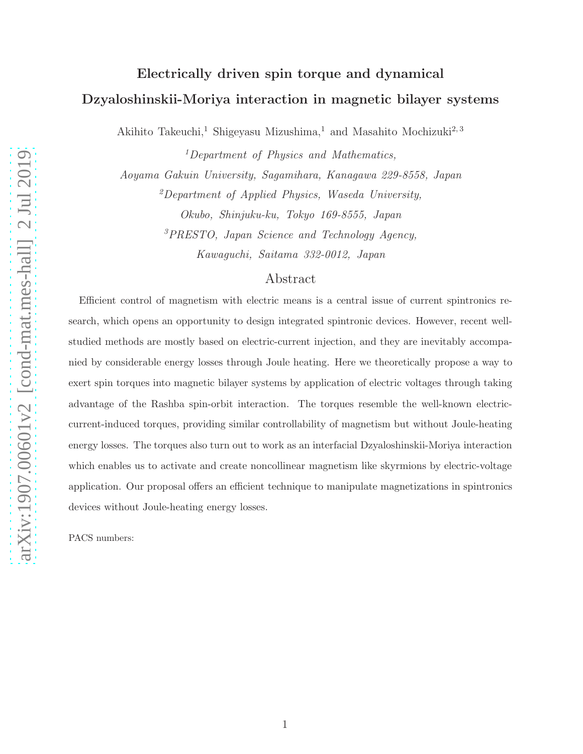## Electrically driven spin torque and dynamical Dzyaloshinskii-Moriya interaction in magnetic bilayer systems

Akihito Takeuchi,<sup>1</sup> Shigeyasu Mizushima,<sup>1</sup> and Masahito Mochizuki<sup>2, 3</sup>

<sup>1</sup>Department of Physics and Mathematics, Aoyama Gakuin University, Sagamihara, Kanagawa 229-8558, Japan  $^{2}$ Department of Applied Physics, Waseda University,

> Okubo, Shinjuku-ku, Tokyo 169-8555, Japan <sup>3</sup>PRESTO, Japan Science and Technology Agency, Kawaguchi, Saitama 332-0012, Japan

## Abstract

Efficient control of magnetism with electric means is a central issue of current spintronics research, which opens an opportunity to design integrated spintronic devices. However, recent wellstudied methods are mostly based on electric-current injection, and they are inevitably accompanied by considerable energy losses through Joule heating. Here we theoretically propose a way to exert spin torques into magnetic bilayer systems by application of electric voltages through taking advantage of the Rashba spin-orbit interaction. The torques resemble the well-known electriccurrent-induced torques, providing similar controllability of magnetism but without Joule-heating energy losses. The torques also turn out to work as an interfacial Dzyaloshinskii-Moriya interaction which enables us to activate and create noncollinear magnetism like skyrmions by electric-voltage application. Our proposal offers an efficient technique to manipulate magnetizations in spintronics devices without Joule-heating energy losses.

PACS numbers: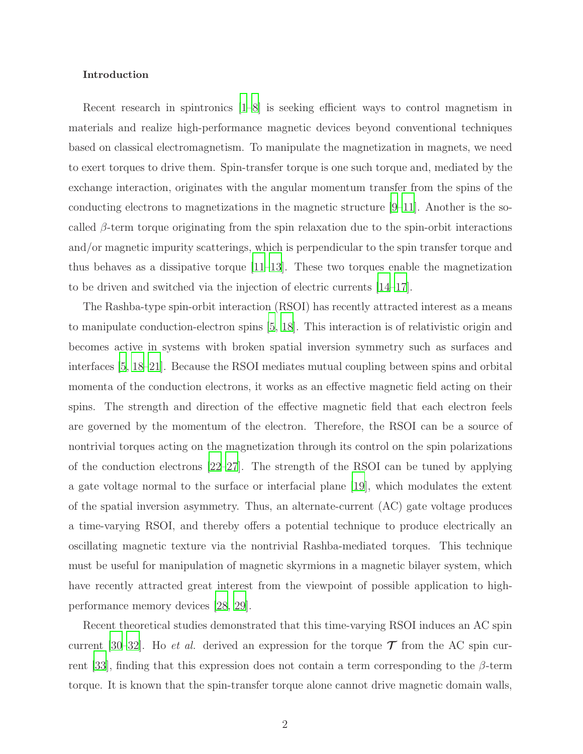#### Introduction

Recent research in spintronics [\[1](#page-12-0)[–8](#page-13-0)] is seeking efficient ways to control magnetism in materials and realize high-performance magnetic devices beyond conventional techniques based on classical electromagnetism. To manipulate the magnetization in magnets, we need to exert torques to drive them. Spin-transfer torque is one such torque and, mediated by the exchange interaction, originates with the angular momentum transfer from the spins of the conducting electrons to magnetizations in the magnetic structure [\[9](#page-13-1)[–11\]](#page-13-2). Another is the socalled  $\beta$ -term torque originating from the spin relaxation due to the spin-orbit interactions and/or magnetic impurity scatterings, which is perpendicular to the spin transfer torque and thus behaves as a dissipative torque  $[11-13]$ . These two torques enable the magnetization to be driven and switched via the injection of electric currents [\[14](#page-13-4)[–17](#page-14-0)].

The Rashba-type spin-orbit interaction (RSOI) has recently attracted interest as a means to manipulate conduction-electron spins [\[5](#page-13-5), [18\]](#page-14-1). This interaction is of relativistic origin and becomes active in systems with broken spatial inversion symmetry such as surfaces and interfaces [\[5,](#page-13-5) [18](#page-14-1)[–21](#page-14-2)]. Because the RSOI mediates mutual coupling between spins and orbital momenta of the conduction electrons, it works as an effective magnetic field acting on their spins. The strength and direction of the effective magnetic field that each electron feels are governed by the momentum of the electron. Therefore, the RSOI can be a source of nontrivial torques acting on the magnetization through its control on the spin polarizations of the conduction electrons [\[22](#page-14-3)[–27\]](#page-14-4). The strength of the RSOI can be tuned by applying a gate voltage normal to the surface or interfacial plane [\[19](#page-14-5)], which modulates the extent of the spatial inversion asymmetry. Thus, an alternate-current (AC) gate voltage produces a time-varying RSOI, and thereby offers a potential technique to produce electrically an oscillating magnetic texture via the nontrivial Rashba-mediated torques. This technique must be useful for manipulation of magnetic skyrmions in a magnetic bilayer system, which have recently attracted great interest from the viewpoint of possible application to highperformance memory devices [\[28](#page-14-6), [29](#page-14-7)].

Recent theoretical studies demonstrated that this time-varying RSOI induces an AC spin current [\[30](#page-15-0)[–32\]](#page-15-1). Ho *et al.* derived an expression for the torque  $\mathcal T$  from the AC spin cur-rent [\[33](#page-15-2)], finding that this expression does not contain a term corresponding to the  $\beta$ -term torque. It is known that the spin-transfer torque alone cannot drive magnetic domain walls,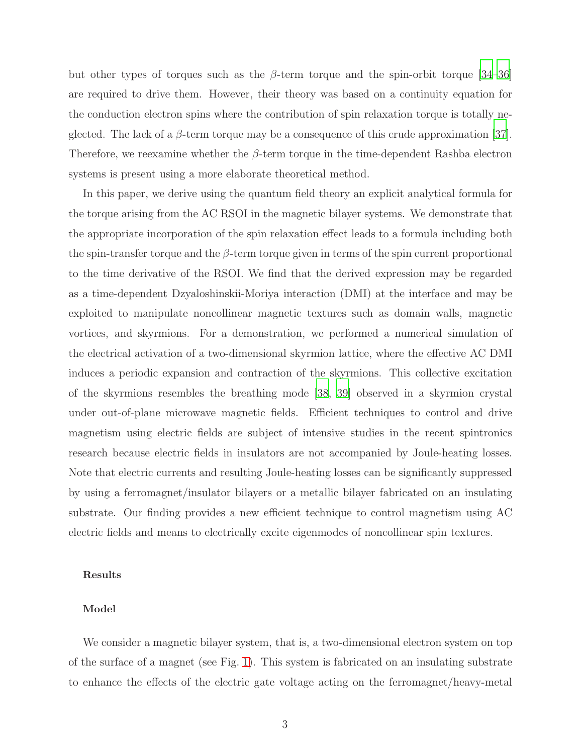but other types of torques such as the  $\beta$ -term torque and the spin-orbit torque [\[34](#page-15-3)[–36\]](#page-15-4) are required to drive them. However, their theory was based on a continuity equation for the conduction electron spins where the contribution of spin relaxation torque is totally neglected. The lack of a  $\beta$ -term torque may be a consequence of this crude approximation [\[37\]](#page-15-5). Therefore, we reexamine whether the  $\beta$ -term torque in the time-dependent Rashba electron systems is present using a more elaborate theoretical method.

In this paper, we derive using the quantum field theory an explicit analytical formula for the torque arising from the AC RSOI in the magnetic bilayer systems. We demonstrate that the appropriate incorporation of the spin relaxation effect leads to a formula including both the spin-transfer torque and the  $\beta$ -term torque given in terms of the spin current proportional to the time derivative of the RSOI. We find that the derived expression may be regarded as a time-dependent Dzyaloshinskii-Moriya interaction (DMI) at the interface and may be exploited to manipulate noncollinear magnetic textures such as domain walls, magnetic vortices, and skyrmions. For a demonstration, we performed a numerical simulation of the electrical activation of a two-dimensional skyrmion lattice, where the effective AC DMI induces a periodic expansion and contraction of the skyrmions. This collective excitation of the skyrmions resembles the breathing mode [\[38](#page-15-6), [39\]](#page-15-7) observed in a skyrmion crystal under out-of-plane microwave magnetic fields. Efficient techniques to control and drive magnetism using electric fields are subject of intensive studies in the recent spintronics research because electric fields in insulators are not accompanied by Joule-heating losses. Note that electric currents and resulting Joule-heating losses can be significantly suppressed by using a ferromagnet/insulator bilayers or a metallic bilayer fabricated on an insulating substrate. Our finding provides a new efficient technique to control magnetism using AC electric fields and means to electrically excite eigenmodes of noncollinear spin textures.

#### Results

#### Model

We consider a magnetic bilayer system, that is, a two-dimensional electron system on top of the surface of a magnet (see Fig. [1\)](#page-4-0). This system is fabricated on an insulating substrate to enhance the effects of the electric gate voltage acting on the ferromagnet/heavy-metal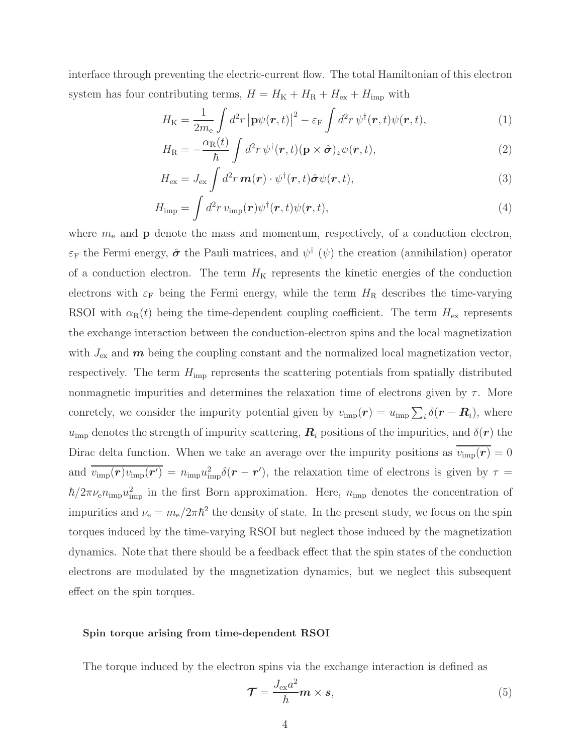interface through preventing the electric-current flow. The total Hamiltonian of this electron system has four contributing terms,  $H = H_{\text{K}} + H_{\text{R}} + H_{\text{ex}} + H_{\text{imp}}$  with

$$
H_{\rm K} = \frac{1}{2m_{\rm e}} \int d^2r \left| \mathbf{p}\psi(\mathbf{r},t) \right|^2 - \varepsilon_{\rm F} \int d^2r \,\psi^\dagger(\mathbf{r},t)\psi(\mathbf{r},t),\tag{1}
$$

$$
H_{\rm R} = -\frac{\alpha_{\rm R}(t)}{\hbar} \int d^2 r \, \psi^{\dagger}(\mathbf{r}, t) (\mathbf{p} \times \hat{\boldsymbol{\sigma}})_z \psi(\mathbf{r}, t), \tag{2}
$$

$$
H_{\text{ex}} = J_{\text{ex}} \int d^2 r \, \boldsymbol{m}(\boldsymbol{r}) \cdot \psi^\dagger(\boldsymbol{r}, t) \hat{\boldsymbol{\sigma}} \psi(\boldsymbol{r}, t), \tag{3}
$$

$$
H_{\rm imp} = \int d^2 r \, v_{\rm imp}(\boldsymbol{r}) \psi^\dagger(\boldsymbol{r}, t) \psi(\boldsymbol{r}, t), \tag{4}
$$

where  $m_e$  and  $\bf{p}$  denote the mass and momentum, respectively, of a conduction electron,  $\varepsilon_F$  the Fermi energy,  $\hat{\sigma}$  the Pauli matrices, and  $\psi^{\dagger}(\psi)$  the creation (annihilation) operator of a conduction electron. The term  $H<sub>K</sub>$  represents the kinetic energies of the conduction electrons with  $\varepsilon_F$  being the Fermi energy, while the term  $H_R$  describes the time-varying RSOI with  $\alpha_{\rm R}(t)$  being the time-dependent coupling coefficient. The term  $H_{\rm ex}$  represents the exchange interaction between the conduction-electron spins and the local magnetization with  $J_{\text{ex}}$  and  $m$  being the coupling constant and the normalized local magnetization vector, respectively. The term  $H_{\text{imp}}$  represents the scattering potentials from spatially distributed nonmagnetic impurities and determines the relaxation time of electrons given by  $\tau$ . More conretely, we consider the impurity potential given by  $v_{\rm imp}(\mathbf{r}) = u_{\rm imp} \sum_i \delta(\mathbf{r} - \mathbf{R}_i)$ , where  $u_{\text{imp}}$  denotes the strength of impurity scattering,  $\mathbf{R}_i$  positions of the impurities, and  $\delta(\mathbf{r})$  the Dirac delta function. When we take an average over the impurity positions as  $v_{\text{imp}}(\mathbf{r}) = 0$ and  $\overline{v_{\text{imp}}(\bm{r})v_{\text{imp}}(\bm{r'})} = n_{\text{imp}}u_{\text{imp}}^2\delta(\bm{r}-\bm{r'})$ , the relaxation time of electrons is given by  $\tau =$  $\hbar/2\pi\nu_{\rm e}n_{\rm imp}u_{\rm imp}^2$  in the first Born approximation. Here,  $n_{\rm imp}$  denotes the concentration of impurities and  $\nu_e = m_e/2\pi\hbar^2$  the density of state. In the present study, we focus on the spin torques induced by the time-varying RSOI but neglect those induced by the magnetization dynamics. Note that there should be a feedback effect that the spin states of the conduction electrons are modulated by the magnetization dynamics, but we neglect this subsequent effect on the spin torques.

#### Spin torque arising from time-dependent RSOI

The torque induced by the electron spins via the exchange interaction is defined as

$$
\mathcal{T} = \frac{J_{\text{ex}}a^2}{\hbar} \mathbf{m} \times \mathbf{s},\tag{5}
$$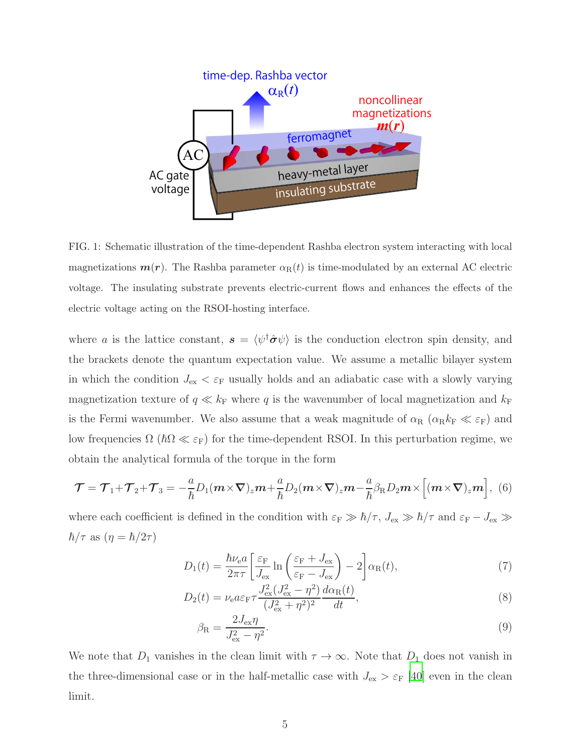

<span id="page-4-0"></span>FIG. 1: Schematic illustration of the time-dependent Rashba electron system interacting with local magnetizations  $m(r)$ . The Rashba parameter  $\alpha_{\rm R}(t)$  is time-modulated by an external AC electric voltage. The insulating substrate prevents electric-current flows and enhances the effects of the electric voltage acting on the RSOI-hosting interface.

where a is the lattice constant,  $s = \langle \psi^\dagger \hat{\sigma} \psi \rangle$  is the conduction electron spin density, and the brackets denote the quantum expectation value. We assume a metallic bilayer system in which the condition  $J_{\text{ex}} < \varepsilon_F$  usually holds and an adiabatic case with a slowly varying magnetization texture of  $q \ll k_F$  where q is the wavenumber of local magnetization and  $k_F$ is the Fermi wavenumber. We also assume that a weak magnitude of  $\alpha_R$  ( $\alpha_R k_F \ll \varepsilon_F$ ) and low frequencies  $\Omega$  ( $\hbar\Omega \ll \varepsilon_F$ ) for the time-dependent RSOI. In this perturbation regime, we obtain the analytical formula of the torque in the form

<span id="page-4-1"></span>
$$
\mathcal{T} = \mathcal{T}_1 + \mathcal{T}_2 + \mathcal{T}_3 = -\frac{a}{\hbar}D_1(m \times \nabla)_z m + \frac{a}{\hbar}D_2(m \times \nabla)_z m - \frac{a}{\hbar}\beta_R D_2 m \times \left[ (m \times \nabla)_z m \right], \tag{6}
$$

where each coefficient is defined in the condition with  $\varepsilon_F \gg \hbar/\tau$ ,  $J_{ex} \gg \hbar/\tau$  and  $\varepsilon_F - J_{ex} \gg$  $\hbar/\tau$  as  $(\eta = \hbar/2\tau)$ 

$$
D_1(t) = \frac{\hbar \nu_e a}{2\pi \tau} \left[ \frac{\varepsilon_F}{J_{\text{ex}}} \ln \left( \frac{\varepsilon_F + J_{\text{ex}}}{\varepsilon_F - J_{\text{ex}}} \right) - 2 \right] \alpha_R(t), \tag{7}
$$

$$
D_2(t) = \nu_e a \varepsilon_{\rm F} \tau \frac{J_{\rm ex}^2 (J_{\rm ex}^2 - \eta^2)}{(J_{\rm ex}^2 + \eta^2)^2} \frac{d\alpha_{\rm R}(t)}{dt},\tag{8}
$$

<span id="page-4-2"></span>
$$
\beta_{\rm R} = \frac{2J_{\rm ex}\eta}{J_{\rm ex}^2 - \eta^2}.\tag{9}
$$

We note that  $D_1$  vanishes in the clean limit with  $\tau \to \infty$ . Note that  $D_1$  does not vanish in the three-dimensional case or in the half-metallic case with  $J_{\rm ex} > \varepsilon_{\rm F}$  [\[40\]](#page-15-8) even in the clean limit.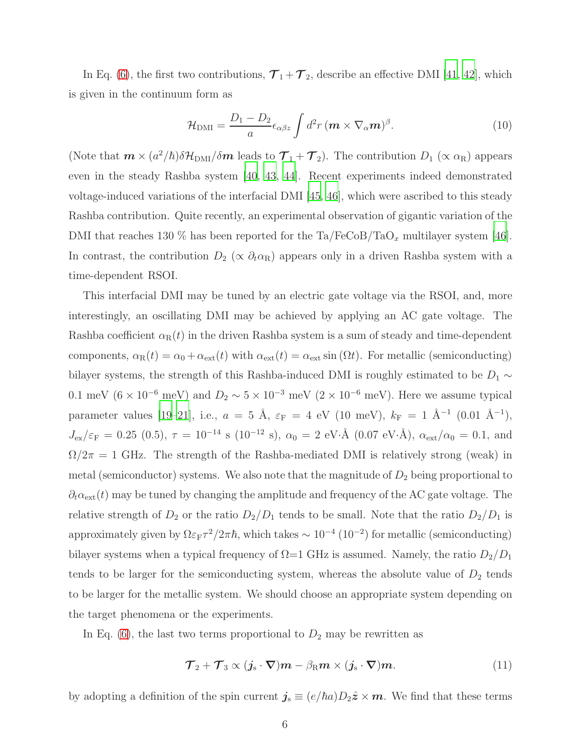In Eq. [\(6\)](#page-4-1), the first two contributions,  $\mathcal{T}_1 + \mathcal{T}_2$ , describe an effective DMI [\[41](#page-15-9), [42\]](#page-15-10), which is given in the continuum form as

<span id="page-5-0"></span>
$$
\mathcal{H}_{\rm DMI} = \frac{D_1 - D_2}{a} \epsilon_{\alpha\beta z} \int d^2 r \, (m \times \nabla_\alpha m)^\beta.
$$
 (10)

(Note that  $m \times (a^2/\hbar) \delta \mathcal{H}_{\rm DMI}/\delta m$  leads to  $\mathcal{T}_1 + \mathcal{T}_2$ ). The contribution  $D_1$  ( $\propto \alpha_{\rm R}$ ) appears even in the steady Rashba system [\[40](#page-15-8), [43](#page-15-11), [44\]](#page-15-12). Recent experiments indeed demonstrated voltage-induced variations of the interfacial DMI [\[45,](#page-16-0) [46\]](#page-16-1), which were ascribed to this steady Rashba contribution. Quite recently, an experimental observation of gigantic variation of the DMI that reaches 130 % has been reported for the  $Ta/FeCoB/TaO_x$  multilayer system [\[46\]](#page-16-1). In contrast, the contribution  $D_2$  ( $\propto \partial_t \alpha_R$ ) appears only in a driven Rashba system with a time-dependent RSOI.

This interfacial DMI may be tuned by an electric gate voltage via the RSOI, and, more interestingly, an oscillating DMI may be achieved by applying an AC gate voltage. The Rashba coefficient  $\alpha_R(t)$  in the driven Rashba system is a sum of steady and time-dependent components,  $\alpha_{\rm R}(t) = \alpha_0 + \alpha_{\rm ext}(t)$  with  $\alpha_{\rm ext}(t) = \alpha_{\rm ext} \sin(\Omega t)$ . For metallic (semiconducting) bilayer systems, the strength of this Rashba-induced DMI is roughly estimated to be  $D_1 \sim$ 0.1 meV ( $6 \times 10^{-6}$  meV) and  $D_2 \sim 5 \times 10^{-3}$  meV ( $2 \times 10^{-6}$  meV). Here we assume typical parameter values [\[19](#page-14-5)[–21](#page-14-2)], i.e.,  $a = 5$  Å,  $\varepsilon_F = 4$  eV (10 meV),  $k_F = 1$  Å<sup>-1</sup> (0.01 Å<sup>-1</sup>),  $J_{\text{ex}}/\varepsilon_{\text{F}} = 0.25$  (0.5),  $\tau = 10^{-14}$  s (10<sup>-12</sup> s),  $\alpha_0 = 2$  eV·Å (0.07 eV·Å),  $\alpha_{\text{ext}}/\alpha_0 = 0.1$ , and  $\Omega/2\pi = 1$  GHz. The strength of the Rashba-mediated DMI is relatively strong (weak) in metal (semiconductor) systems. We also note that the magnitude of  $D_2$  being proportional to  $\partial_t \alpha_{\rm ext}(t)$  may be tuned by changing the amplitude and frequency of the AC gate voltage. The relative strength of  $D_2$  or the ratio  $D_2/D_1$  tends to be small. Note that the ratio  $D_2/D_1$  is approximately given by  $\Omega \varepsilon_F \tau^2/2\pi \hbar$ , which takes  $\sim 10^{-4}$  (10<sup>-2</sup>) for metallic (semiconducting) bilayer systems when a typical frequency of  $\Omega$ =1 GHz is assumed. Namely, the ratio  $D_2/D_1$ tends to be larger for the semiconducting system, whereas the absolute value of  $D_2$  tends to be larger for the metallic system. We should choose an appropriate system depending on the target phenomena or the experiments.

In Eq.  $(6)$ , the last two terms proportional to  $D_2$  may be rewritten as

$$
\mathcal{T}_2 + \mathcal{T}_3 \propto (\mathbf{j}_s \cdot \nabla) \mathbf{m} - \beta_R \mathbf{m} \times (\mathbf{j}_s \cdot \nabla) \mathbf{m}.
$$
 (11)

by adopting a definition of the spin current  $j_s \equiv (e/\hbar a)D_2\hat{z} \times m$ . We find that these terms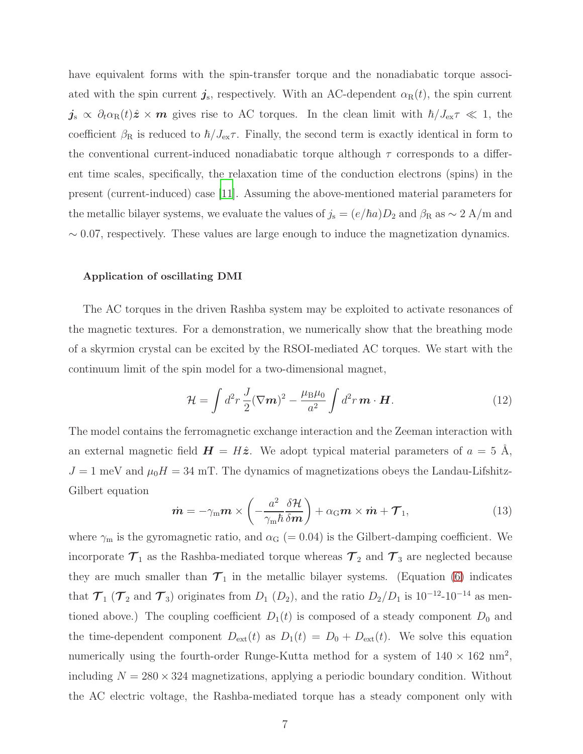have equivalent forms with the spin-transfer torque and the nonadiabatic torque associated with the spin current  $j_s$ , respectively. With an AC-dependent  $\alpha_{\rm R}(t)$ , the spin current  $j_s \propto \partial_t \alpha_{\rm R}(t) \hat{\mathbf{z}} \times \mathbf{m}$  gives rise to AC torques. In the clean limit with  $\hbar/J_{\rm ex}\tau \ll 1$ , the coefficient  $\beta_R$  is reduced to  $\hbar/J_{ex}\tau$ . Finally, the second term is exactly identical in form to the conventional current-induced nonadiabatic torque although  $\tau$  corresponds to a different time scales, specifically, the relaxation time of the conduction electrons (spins) in the present (current-induced) case [\[11](#page-13-2)]. Assuming the above-mentioned material parameters for the metallic bilayer systems, we evaluate the values of  $j_s = (e/\hbar a)D_2$  and  $\beta_R$  as  $\sim 2$  A/m and  $\sim$  0.07, respectively. These values are large enough to induce the magnetization dynamics.

#### Application of oscillating DMI

The AC torques in the driven Rashba system may be exploited to activate resonances of the magnetic textures. For a demonstration, we numerically show that the breathing mode of a skyrmion crystal can be excited by the RSOI-mediated AC torques. We start with the continuum limit of the spin model for a two-dimensional magnet,

$$
\mathcal{H} = \int d^2 r \frac{J}{2} (\nabla \mathbf{m})^2 - \frac{\mu_B \mu_0}{a^2} \int d^2 r \, \mathbf{m} \cdot \mathbf{H}.
$$
 (12)

The model contains the ferromagnetic exchange interaction and the Zeeman interaction with an external magnetic field  $H = H\hat{z}$ . We adopt typical material parameters of  $a = 5 \text{ Å}$ ,  $J = 1$  meV and  $\mu_0 H = 34$  mT. The dynamics of magnetizations obeys the Landau-Lifshitz-Gilbert equation

$$
\dot{\boldsymbol{m}} = -\gamma_{\rm m}\boldsymbol{m} \times \left( -\frac{a^2}{\gamma_{\rm m}\hbar} \frac{\delta \mathcal{H}}{\delta \boldsymbol{m}} \right) + \alpha_{\rm G} \boldsymbol{m} \times \dot{\boldsymbol{m}} + \boldsymbol{\mathcal{T}}_1, \tag{13}
$$

where  $\gamma_{\rm m}$  is the gyromagnetic ratio, and  $\alpha_{\rm G}$  (= 0.04) is the Gilbert-damping coefficient. We incorporate  $\mathcal{T}_1$  as the Rashba-mediated torque whereas  $\mathcal{T}_2$  and  $\mathcal{T}_3$  are neglected because they are much smaller than  $\mathcal{T}_1$  in the metallic bilayer systems. (Equation [\(6\)](#page-4-1) indicates that  $\mathcal{T}_1$  ( $\mathcal{T}_2$  and  $\mathcal{T}_3$ ) originates from  $D_1$  ( $D_2$ ), and the ratio  $D_2/D_1$  is 10<sup>-12</sup>-10<sup>-14</sup> as mentioned above.) The coupling coefficient  $D_1(t)$  is composed of a steady component  $D_0$  and the time-dependent component  $D_{ext}(t)$  as  $D_1(t) = D_0 + D_{ext}(t)$ . We solve this equation numerically using the fourth-order Runge-Kutta method for a system of  $140 \times 162$  nm<sup>2</sup>, including  $N = 280 \times 324$  magnetizations, applying a periodic boundary condition. Without the AC electric voltage, the Rashba-mediated torque has a steady component only with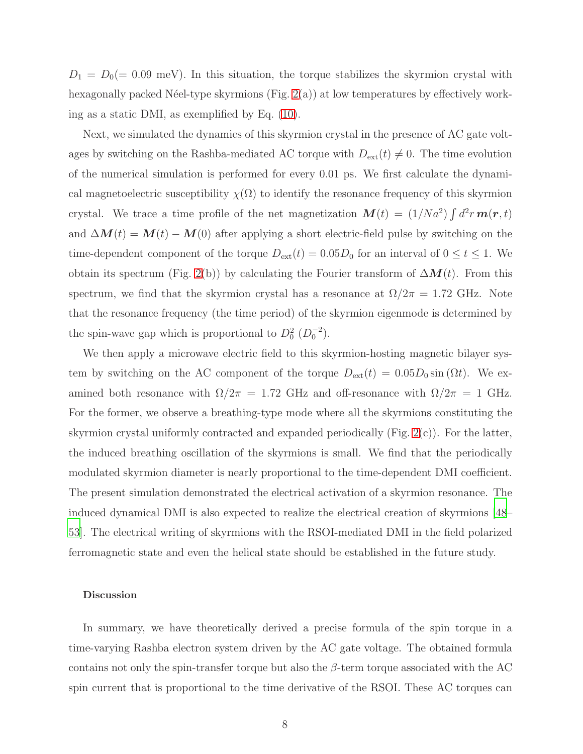$D_1 = D_0 (= 0.09 \text{ meV})$ . In this situation, the torque stabilizes the skyrmion crystal with hexagonally packed Néel-type skyrmions (Fig.  $2(a)$ ) at low temperatures by effectively working as a static DMI, as exemplified by Eq. [\(10\)](#page-5-0).

Next, we simulated the dynamics of this skyrmion crystal in the presence of AC gate voltages by switching on the Rashba-mediated AC torque with  $D_{ext}(t) \neq 0$ . The time evolution of the numerical simulation is performed for every 0.01 ps. We first calculate the dynamical magnetoelectric susceptibility  $\chi(\Omega)$  to identify the resonance frequency of this skyrmion crystal. We trace a time profile of the net magnetization  $\mathbf{M}(t) = (1/Na^2) \int d^2r \, \mathbf{m}(\mathbf{r},t)$ and  $\Delta M(t) = M(t) - M(0)$  after applying a short electric-field pulse by switching on the time-dependent component of the torque  $D_{ext}(t) = 0.05D_0$  for an interval of  $0 \le t \le 1$ . We obtain its spectrum (Fig. [2\(](#page-8-0)b)) by calculating the Fourier transform of  $\Delta M(t)$ . From this spectrum, we find that the skyrmion crystal has a resonance at  $\Omega/2\pi = 1.72$  GHz. Note that the resonance frequency (the time period) of the skyrmion eigenmode is determined by the spin-wave gap which is proportional to  $D_0^2$   $(D_0^{-2})$ .

We then apply a microwave electric field to this skyrmion-hosting magnetic bilayer system by switching on the AC component of the torque  $D_{ext}(t) = 0.05D_0 \sin(\Omega t)$ . We examined both resonance with  $\Omega/2\pi = 1.72$  GHz and off-resonance with  $\Omega/2\pi = 1$  GHz. For the former, we observe a breathing-type mode where all the skyrmions constituting the skyrmion crystal uniformly contracted and expanded periodically (Fig. [2\(](#page-8-0)c)). For the latter, the induced breathing oscillation of the skyrmions is small. We find that the periodically modulated skyrmion diameter is nearly proportional to the time-dependent DMI coefficient. The present simulation demonstrated the electrical activation of a skyrmion resonance. The induced dynamical DMI is also expected to realize the electrical creation of skyrmions [\[48](#page-16-2)– [53\]](#page-16-3). The electrical writing of skyrmions with the RSOI-mediated DMI in the field polarized ferromagnetic state and even the helical state should be established in the future study.

#### Discussion

In summary, we have theoretically derived a precise formula of the spin torque in a time-varying Rashba electron system driven by the AC gate voltage. The obtained formula contains not only the spin-transfer torque but also the  $\beta$ -term torque associated with the AC spin current that is proportional to the time derivative of the RSOI. These AC torques can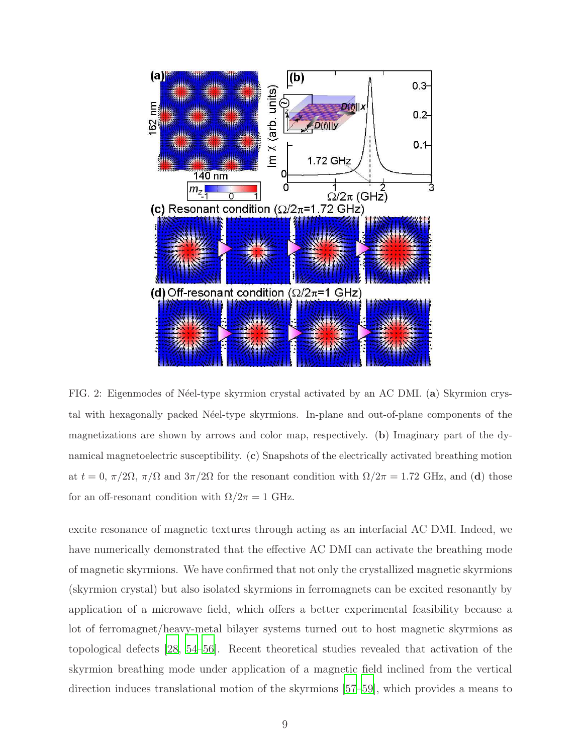

<span id="page-8-0"></span>FIG. 2: Eigenmodes of Néel-type skyrmion crystal activated by an AC DMI. (a) Skyrmion crystal with hexagonally packed N´eel-type skyrmions. In-plane and out-of-plane components of the magnetizations are shown by arrows and color map, respectively. (b) Imaginary part of the dynamical magnetoelectric susceptibility. (c) Snapshots of the electrically activated breathing motion at  $t = 0$ ,  $\pi/2\Omega$ ,  $\pi/\Omega$  and  $3\pi/2\Omega$  for the resonant condition with  $\Omega/2\pi = 1.72$  GHz, and (d) those for an off-resonant condition with  $\Omega/2\pi = 1$  GHz.

excite resonance of magnetic textures through acting as an interfacial AC DMI. Indeed, we have numerically demonstrated that the effective AC DMI can activate the breathing mode of magnetic skyrmions. We have confirmed that not only the crystallized magnetic skyrmions (skyrmion crystal) but also isolated skyrmions in ferromagnets can be excited resonantly by application of a microwave field, which offers a better experimental feasibility because a lot of ferromagnet/heavy-metal bilayer systems turned out to host magnetic skyrmions as topological defects [\[28](#page-14-6), [54](#page-16-4)[–56\]](#page-16-5). Recent theoretical studies revealed that activation of the skyrmion breathing mode under application of a magnetic field inclined from the vertical direction induces translational motion of the skyrmions [\[57](#page-16-6)[–59](#page-16-7)], which provides a means to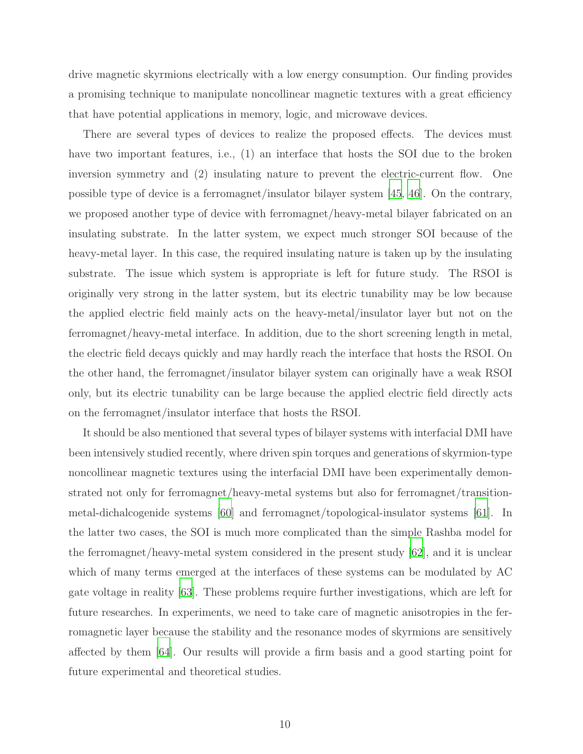drive magnetic skyrmions electrically with a low energy consumption. Our finding provides a promising technique to manipulate noncollinear magnetic textures with a great efficiency that have potential applications in memory, logic, and microwave devices.

There are several types of devices to realize the proposed effects. The devices must have two important features, i.e., (1) an interface that hosts the SOI due to the broken inversion symmetry and (2) insulating nature to prevent the electric-current flow. One possible type of device is a ferromagnet/insulator bilayer system [\[45,](#page-16-0) [46\]](#page-16-1). On the contrary, we proposed another type of device with ferromagnet/heavy-metal bilayer fabricated on an insulating substrate. In the latter system, we expect much stronger SOI because of the heavy-metal layer. In this case, the required insulating nature is taken up by the insulating substrate. The issue which system is appropriate is left for future study. The RSOI is originally very strong in the latter system, but its electric tunability may be low because the applied electric field mainly acts on the heavy-metal/insulator layer but not on the ferromagnet/heavy-metal interface. In addition, due to the short screening length in metal, the electric field decays quickly and may hardly reach the interface that hosts the RSOI. On the other hand, the ferromagnet/insulator bilayer system can originally have a weak RSOI only, but its electric tunability can be large because the applied electric field directly acts on the ferromagnet/insulator interface that hosts the RSOI.

It should be also mentioned that several types of bilayer systems with interfacial DMI have been intensively studied recently, where driven spin torques and generations of skyrmion-type noncollinear magnetic textures using the interfacial DMI have been experimentally demonstrated not only for ferromagnet/heavy-metal systems but also for ferromagnet/transitionmetal-dichalcogenide systems [\[60](#page-17-0)] and ferromagnet/topological-insulator systems [\[61](#page-17-1)]. In the latter two cases, the SOI is much more complicated than the simple Rashba model for the ferromagnet/heavy-metal system considered in the present study [\[62](#page-17-2)], and it is unclear which of many terms emerged at the interfaces of these systems can be modulated by AC gate voltage in reality [\[63\]](#page-17-3). These problems require further investigations, which are left for future researches. In experiments, we need to take care of magnetic anisotropies in the ferromagnetic layer because the stability and the resonance modes of skyrmions are sensitively affected by them [\[64\]](#page-17-4). Our results will provide a firm basis and a good starting point for future experimental and theoretical studies.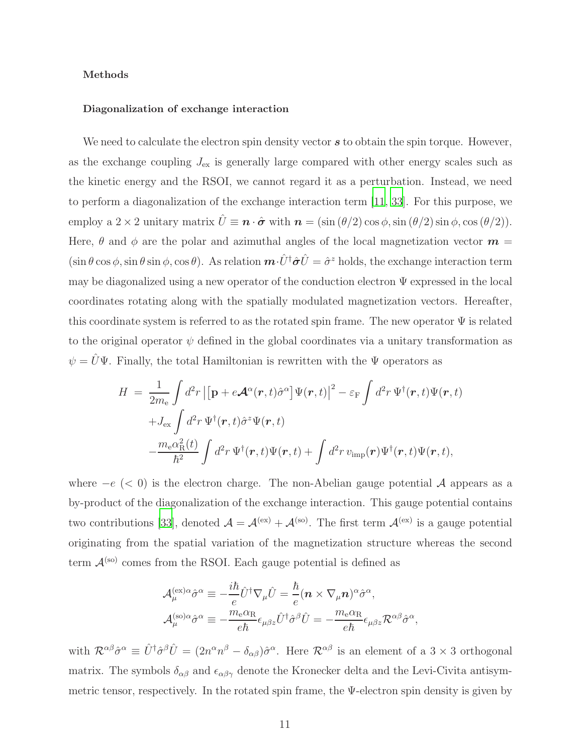#### Methods

#### Diagonalization of exchange interaction

We need to calculate the electron spin density vector  $s$  to obtain the spin torque. However, as the exchange coupling  $J_{\text{ex}}$  is generally large compared with other energy scales such as the kinetic energy and the RSOI, we cannot regard it as a perturbation. Instead, we need to perform a diagonalization of the exchange interaction term [\[11,](#page-13-2) [33\]](#page-15-2). For this purpose, we employ a 2 × 2 unitary matrix  $\hat{U} \equiv \mathbf{n} \cdot \hat{\boldsymbol{\sigma}}$  with  $\mathbf{n} = (\sin (\theta/2) \cos \phi, \sin (\theta/2) \sin \phi, \cos (\theta/2)).$ Here,  $\theta$  and  $\phi$  are the polar and azimuthal angles of the local magnetization vector  $\boldsymbol{m} =$  $(\sin \theta \cos \phi, \sin \theta \sin \phi, \cos \theta)$ . As relation  $\mathbf{m} \cdot \hat{U}^{\dagger} \hat{\sigma} \hat{U} = \hat{\sigma}^z$  holds, the exchange interaction term may be diagonalized using a new operator of the conduction electron  $\Psi$  expressed in the local coordinates rotating along with the spatially modulated magnetization vectors. Hereafter, this coordinate system is referred to as the rotated spin frame. The new operator  $\Psi$  is related to the original operator  $\psi$  defined in the global coordinates via a unitary transformation as  $\psi=\hat{U}\Psi.$  Finally, the total Hamiltonian is rewritten with the  $\Psi$  operators as

$$
H = \frac{1}{2m_e} \int d^2r \left| \left[ \mathbf{p} + e \mathbf{\mathcal{A}}^{\alpha}(\mathbf{r}, t) \hat{\sigma}^{\alpha} \right] \Psi(\mathbf{r}, t) \right|^2 - \varepsilon_{\rm F} \int d^2r \, \Psi^{\dagger}(\mathbf{r}, t) \Psi(\mathbf{r}, t) + J_{\rm ex} \int d^2r \, \Psi^{\dagger}(\mathbf{r}, t) \hat{\sigma}^z \Psi(\mathbf{r}, t) -\frac{m_{\rm e} \alpha_{\rm R}^2(t)}{\hbar^2} \int d^2r \, \Psi^{\dagger}(\mathbf{r}, t) \Psi(\mathbf{r}, t) + \int d^2r \, v_{\rm imp}(\mathbf{r}) \Psi^{\dagger}(\mathbf{r}, t) \Psi(\mathbf{r}, t),
$$

where  $-e$  (< 0) is the electron charge. The non-Abelian gauge potential A appears as a by-product of the diagonalization of the exchange interaction. This gauge potential contains two contributions [\[33](#page-15-2)], denoted  $A = \mathcal{A}^{(ex)} + \mathcal{A}^{(so)}$ . The first term  $\mathcal{A}^{(ex)}$  is a gauge potential originating from the spatial variation of the magnetization structure whereas the second term  $A^{(so)}$  comes from the RSOI. Each gauge potential is defined as

$$
\begin{split} \mathcal{A}_{\mu}^{(\mathrm{ex})\alpha}\hat{\sigma}^{\alpha} & \equiv -\frac{i\hbar}{e}\hat{U}^{\dagger}\nabla_{\mu}\hat{U} = \frac{\hbar}{e}(\boldsymbol{n}\times\nabla_{\mu}\boldsymbol{n})^{\alpha}\hat{\sigma}^{\alpha}, \\ \mathcal{A}_{\mu}^{(\mathrm{so})\alpha}\hat{\sigma}^{\alpha} & \equiv -\frac{m_{\mathrm{e}}\alpha_{\mathrm{R}}}{e\hbar}\epsilon_{\mu\beta z}\hat{U}^{\dagger}\hat{\sigma}^{\beta}\hat{U} = -\frac{m_{\mathrm{e}}\alpha_{\mathrm{R}}}{e\hbar}\epsilon_{\mu\beta z}\mathcal{R}^{\alpha\beta}\hat{\sigma}^{\alpha}, \end{split}
$$

with  $\mathcal{R}^{\alpha\beta}\hat{\sigma}^{\alpha} \equiv \hat{U}^{\dagger}\hat{\sigma}^{\beta}\hat{U} = (2n^{\alpha}n^{\beta} - \delta_{\alpha\beta})\hat{\sigma}^{\alpha}$ . Here  $\mathcal{R}^{\alpha\beta}$  is an element of a 3 × 3 orthogonal matrix. The symbols  $\delta_{\alpha\beta}$  and  $\epsilon_{\alpha\beta\gamma}$  denote the Kronecker delta and the Levi-Civita antisymmetric tensor, respectively. In the rotated spin frame, the Ψ-electron spin density is given by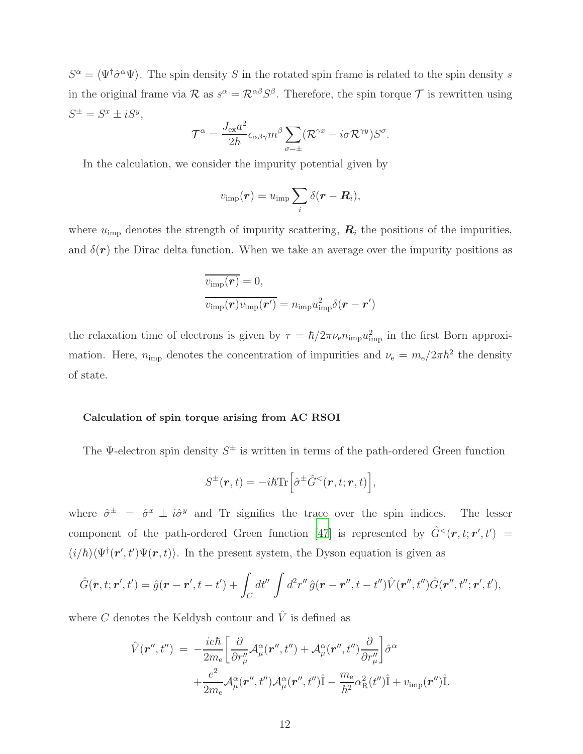$S^{\alpha} = \langle \Psi^{\dagger} \hat{\sigma}^{\alpha} \Psi \rangle$ . The spin density S in the rotated spin frame is related to the spin density s in the original frame via  $\mathcal R$  as  $s^{\alpha} = \mathcal R^{\alpha\beta} S^{\beta}$ . Therefore, the spin torque  $\mathcal T$  is rewritten using  $S^{\pm} = S^x \pm iS^y,$ 

$$
\mathcal{T}^{\alpha} = \frac{J_{\text{ex}} a^2}{2\hbar} \epsilon_{\alpha\beta\gamma} m^{\beta} \sum_{\sigma=\pm} (\mathcal{R}^{\gamma x} - i\sigma \mathcal{R}^{\gamma y}) S^{\sigma}.
$$

In the calculation, we consider the impurity potential given by

$$
v_{\rm imp}({\bm r}) = u_{\rm imp} \sum_i \delta({\bm r} - {\bm R}_i),
$$

where  $u_{\text{imp}}$  denotes the strength of impurity scattering,  $\boldsymbol{R}_i$  the positions of the impurities, and  $\delta(\mathbf{r})$  the Dirac delta function. When we take an average over the impurity positions as

$$
\overline{v_{\rm imp}(\boldsymbol{r})} = 0,
$$
  

$$
\overline{v_{\rm imp}(\boldsymbol{r})v_{\rm imp}(\boldsymbol{r}')} = n_{\rm imp}u_{\rm imp}^2\delta(\boldsymbol{r} - \boldsymbol{r}')
$$

the relaxation time of electrons is given by  $\tau = \hbar/2\pi\nu_e n_{\rm imp} u_{\rm imp}^2$  in the first Born approximation. Here,  $n_{\text{imp}}$  denotes the concentration of impurities and  $\nu_e = m_e/2\pi\hbar^2$  the density of state.

#### Calculation of spin torque arising from AC RSOI

The  $\Psi$ -electron spin density  $S^{\pm}$  is written in terms of the path-ordered Green function

$$
S^{\pm}(\boldsymbol{r},t) = -i\hbar \text{Tr} \left[ \hat{\sigma}^{\pm} \hat{G}^{<}(\boldsymbol{r},t;\boldsymbol{r},t) \right],
$$

where  $\hat{\sigma}^{\pm} = \hat{\sigma}^x \pm i \hat{\sigma}^y$  and Tr signifies the trace over the spin indices. The lesser component of the path-ordered Green function [\[47](#page-16-8)] is represented by  $\hat{G}^{<}(\mathbf{r},t;\mathbf{r}',t')$  =  $(i/\hbar)\langle\Psi^{\dagger}(\mathbf{r}',t')\Psi(\mathbf{r},t)\rangle$ . In the present system, the Dyson equation is given as

$$
\hat{G}(\mathbf{r},t;\mathbf{r}',t') = \hat{g}(\mathbf{r}-\mathbf{r}',t-t') + \int_C dt'' \int d^2 r'' \hat{g}(\mathbf{r}-\mathbf{r}'',t-t'') \hat{V}(\mathbf{r}'',t'') \hat{G}(\mathbf{r}'',t'';\mathbf{r}',t'),
$$

where C denotes the Keldysh contour and  $\hat{V}$  is defined as

$$
\hat{V}(\mathbf{r}^{\prime\prime},t^{\prime\prime}) = -\frac{ie\hbar}{2m_{\rm e}} \left[ \frac{\partial}{\partial r_{\mu}^{\prime\prime}} \mathcal{A}_{\mu}^{\alpha}(\mathbf{r}^{\prime\prime},t^{\prime\prime}) + \mathcal{A}_{\mu}^{\alpha}(\mathbf{r}^{\prime\prime},t^{\prime\prime}) \frac{\partial}{\partial r_{\mu}^{\prime\prime}} \right] \hat{\sigma}^{\alpha} \n+ \frac{e^{2}}{2m_{\rm e}} \mathcal{A}_{\mu}^{\alpha}(\mathbf{r}^{\prime\prime},t^{\prime\prime}) \mathcal{A}_{\mu}^{\alpha}(\mathbf{r}^{\prime\prime},t^{\prime\prime}) \hat{1} - \frac{m_{\rm e}}{\hbar^{2}} \alpha_{\rm R}^{2}(t^{\prime\prime}) \hat{1} + v_{\rm imp}(\mathbf{r}^{\prime\prime}) \hat{1}.
$$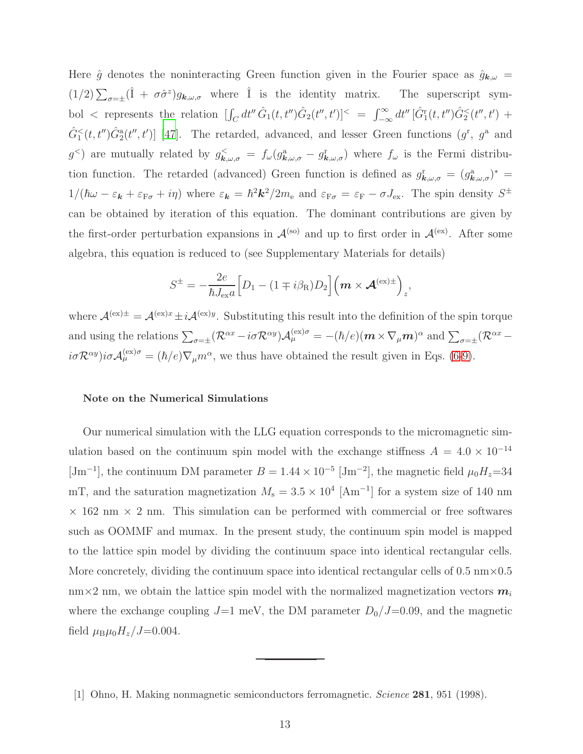Here  $\hat{g}$  denotes the noninteracting Green function given in the Fourier space as  $\hat{g}_{\mathbf{k},\omega}$  =  $(1/2)\sum_{\sigma=\pm}(\hat{I} + \sigma\hat{\sigma}^z)g_{\mathbf{k},\omega,\sigma}$  where  $\hat{I}$  is the identity matrix. The superscript symbol < represents the relation  $\left[\int_C dt'' \hat{G}_1(t,t'')\hat{G}_2(t'',t')\right]^{\lt} = \int_{-\infty}^{\infty} dt'' \left[\hat{G}_1^{\rm r}(t,t'')\hat{G}_2^{\lt}(t'',t')\right] +$  $\hat{G}_1^<(t,t'')\hat{G}_2^{\mathbf{a}}(t'',t')]$  [\[47\]](#page-16-8). The retarded, advanced, and lesser Green functions  $(g^{\mathbf{r}}, g^{\mathbf{a}})$  and g<sup><</sup>) are mutually related by  $g_{\mathbf{k},\omega,\sigma}^{\langle} = f_{\omega}(g_{\mathbf{k},\omega,\sigma}^{\alpha} - g_{\mathbf{k},\omega,\sigma}^{\mathrm{r}})$  where  $f_{\omega}$  is the Fermi distribution function. The retarded (advanced) Green function is defined as  $g_{\bm{k},\omega,\sigma}^{\rm r} = (g_{\bm{k},\omega,\sigma}^{\rm a})^*$  $1/(\hbar\omega - \varepsilon_{\bf k} + \varepsilon_{F\sigma} + i\eta)$  where  $\varepsilon_{\bf k} = \hbar^2 k^2 / 2m_e$  and  $\varepsilon_{F\sigma} = \varepsilon_F - \sigma J_{\rm ex}$ . The spin density  $S^{\pm}$ can be obtained by iteration of this equation. The dominant contributions are given by the first-order perturbation expansions in  $\mathcal{A}^{(so)}$  and up to first order in  $\mathcal{A}^{(ex)}$ . After some algebra, this equation is reduced to (see Supplementary Materials for details)

$$
S^{\pm} = -\frac{2e}{\hbar J_{\text{ex}}a} \Big[ D_1 - (1 \mp i\beta_{\text{R}}) D_2 \Big] \Big( \boldsymbol{m} \times \boldsymbol{\mathcal{A}}^{(\text{ex})\pm} \Big)_z,
$$

where  $\mathcal{A}^{(ex)\pm} = \mathcal{A}^{(ex)x} \pm i \mathcal{A}^{(ex)y}$ . Substituting this result into the definition of the spin torque and using the relations  $\sum_{\sigma=\pm} (\mathcal{R}^{\alpha x} - i\sigma \mathcal{R}^{\alpha y}) \mathcal{A}_{\mu}^{(\text{ex})\sigma} = -(\hbar/e)(\boldsymbol{m} \times \nabla_{\mu} \boldsymbol{m})^{\alpha}$  and  $\sum_{\sigma=\pm} (\mathcal{R}^{\alpha x} - i\sigma \mathcal{R}^{\alpha y}) \mathcal{A}_{\mu}^{(\text{ex})\sigma}$  $i\sigma \mathcal{R}^{\alpha y}$ ) $i\sigma \mathcal{A}_{\mu}^{(\text{ex})\sigma} = (\hbar/e)\nabla_{\mu}m^{\alpha}$ , we thus have obtained the result given in Eqs. [\(6-](#page-4-1)[9\)](#page-4-2).

#### Note on the Numerical Simulations

Our numerical simulation with the LLG equation corresponds to the micromagnetic simulation based on the continuum spin model with the exchange stiffness  $A = 4.0 \times 10^{-14}$ [Jm<sup>-1</sup>], the continuum DM parameter  $B = 1.44 \times 10^{-5}$  [Jm<sup>-2</sup>], the magnetic field  $\mu_0 H_z = 34$ mT, and the saturation magnetization  $M_s = 3.5 \times 10^4$  [Am<sup>-1</sup>] for a system size of 140 nm  $\times$  162 nm  $\times$  2 nm. This simulation can be performed with commercial or free softwares such as OOMMF and mumax. In the present study, the continuum spin model is mapped to the lattice spin model by dividing the continuum space into identical rectangular cells. More concretely, dividing the continuum space into identical rectangular cells of  $0.5 \text{ nm} \times 0.5$  $nm \times 2$  nm, we obtain the lattice spin model with the normalized magnetization vectors  $m_i$ where the exchange coupling  $J=1$  meV, the DM parameter  $D_0/J=0.09$ , and the magnetic field  $\mu_{\rm B}\mu_0H_z/J=0.004$ .

<span id="page-12-0"></span><sup>[1]</sup> Ohno, H. Making nonmagnetic semiconductors ferromagnetic. *Science* 281, 951 (1998).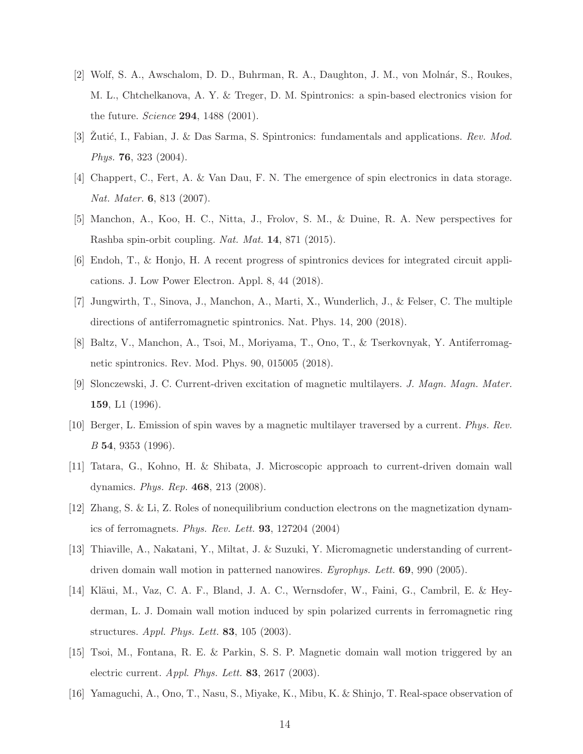- [2] Wolf, S. A., Awschalom, D. D., Buhrman, R. A., Daughton, J. M., von Molnár, S., Roukes, M. L., Chtchelkanova, A. Y. & Treger, D. M. Spintronics: a spin-based electronics vision for the future. *Science* 294, 1488 (2001).
- [3] Zutić, I., Fabian, J. & Das Sarma, S. Spintronics: fundamentals and applications. *Rev. Mod. Phys.* 76, 323 (2004).
- [4] Chappert, C., Fert, A. & Van Dau, F. N. The emergence of spin electronics in data storage. *Nat. Mater.* 6, 813 (2007).
- <span id="page-13-5"></span>[5] Manchon, A., Koo, H. C., Nitta, J., Frolov, S. M., & Duine, R. A. New perspectives for Rashba spin-orbit coupling. *Nat. Mat.* 14, 871 (2015).
- [6] Endoh, T., & Honjo, H. A recent progress of spintronics devices for integrated circuit applications. J. Low Power Electron. Appl. 8, 44 (2018).
- [7] Jungwirth, T., Sinova, J., Manchon, A., Marti, X., Wunderlich, J., & Felser, C. The multiple directions of antiferromagnetic spintronics. Nat. Phys. 14, 200 (2018).
- <span id="page-13-0"></span>[8] Baltz, V., Manchon, A., Tsoi, M., Moriyama, T., Ono, T., & Tserkovnyak, Y. Antiferromagnetic spintronics. Rev. Mod. Phys. 90, 015005 (2018).
- <span id="page-13-1"></span>[9] Slonczewski, J. C. Current-driven excitation of magnetic multilayers. *J. Magn. Magn. Mater.* 159, L1 (1996).
- [10] Berger, L. Emission of spin waves by a magnetic multilayer traversed by a current. *Phys. Rev. B* 54, 9353 (1996).
- <span id="page-13-2"></span>[11] Tatara, G., Kohno, H. & Shibata, J. Microscopic approach to current-driven domain wall dynamics. *Phys. Rep.* 468, 213 (2008).
- [12] Zhang, S. & Li, Z. Roles of nonequilibrium conduction electrons on the magnetization dynamics of ferromagnets. *Phys. Rev. Lett.* 93, 127204 (2004)
- <span id="page-13-3"></span>[13] Thiaville, A., Nakatani, Y., Miltat, J. & Suzuki, Y. Micromagnetic understanding of currentdriven domain wall motion in patterned nanowires. *Eyrophys. Lett.* 69, 990 (2005).
- <span id="page-13-4"></span>[14] Kläui, M., Vaz, C. A. F., Bland, J. A. C., Wernsdofer, W., Faini, G., Cambril, E. & Heyderman, L. J. Domain wall motion induced by spin polarized currents in ferromagnetic ring structures. *Appl. Phys. Lett.* 83, 105 (2003).
- [15] Tsoi, M., Fontana, R. E. & Parkin, S. S. P. Magnetic domain wall motion triggered by an electric current. *Appl. Phys. Lett.* 83, 2617 (2003).
- [16] Yamaguchi, A., Ono, T., Nasu, S., Miyake, K., Mibu, K. & Shinjo, T. Real-space observation of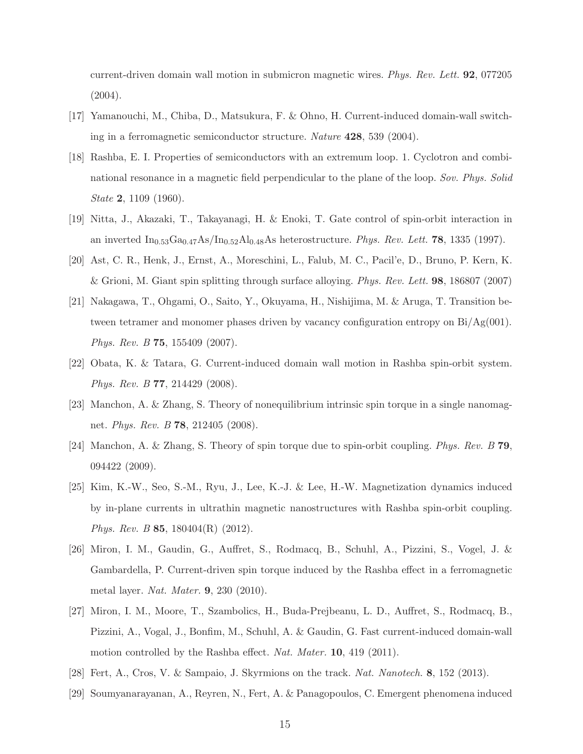current-driven domain wall motion in submicron magnetic wires. *Phys. Rev. Lett.* 92, 077205  $(2004).$ 

- <span id="page-14-0"></span>[17] Yamanouchi, M., Chiba, D., Matsukura, F. & Ohno, H. Current-induced domain-wall switching in a ferromagnetic semiconductor structure. *Nature* 428, 539 (2004).
- <span id="page-14-1"></span>[18] Rashba, E. I. Properties of semiconductors with an extremum loop. 1. Cyclotron and combinational resonance in a magnetic field perpendicular to the plane of the loop. *Sov. Phys. Solid State* 2, 1109 (1960).
- <span id="page-14-5"></span>[19] Nitta, J., Akazaki, T., Takayanagi, H. & Enoki, T. Gate control of spin-orbit interaction in an inverted  $\text{In}_{0.53}\text{Ga}_{0.47}\text{As}/\text{In}_{0.52}\text{Al}_{0.48}\text{As heterostructure}$ . *Phys. Rev. Lett.* **78**, 1335 (1997).
- [20] Ast, C. R., Henk, J., Ernst, A., Moreschini, L., Falub, M. C., Pacil'e, D., Bruno, P. Kern, K. & Grioni, M. Giant spin splitting through surface alloying. *Phys. Rev. Lett.* 98, 186807 (2007)
- <span id="page-14-2"></span>[21] Nakagawa, T., Ohgami, O., Saito, Y., Okuyama, H., Nishijima, M. & Aruga, T. Transition between tetramer and monomer phases driven by vacancy configuration entropy on  $Bi/Ag(001)$ . *Phys. Rev. B* 75, 155409 (2007).
- <span id="page-14-3"></span>[22] Obata, K. & Tatara, G. Current-induced domain wall motion in Rashba spin-orbit system. *Phys. Rev. B* 77, 214429 (2008).
- [23] Manchon, A. & Zhang, S. Theory of nonequilibrium intrinsic spin torque in a single nanomagnet. *Phys. Rev. B* 78, 212405 (2008).
- [24] Manchon, A. & Zhang, S. Theory of spin torque due to spin-orbit coupling. *Phys. Rev. B* 79, 094422 (2009).
- [25] Kim, K.-W., Seo, S.-M., Ryu, J., Lee, K.-J. & Lee, H.-W. Magnetization dynamics induced by in-plane currents in ultrathin magnetic nanostructures with Rashba spin-orbit coupling. *Phys. Rev. B* **85**, 180404(R) (2012).
- [26] Miron, I. M., Gaudin, G., Auffret, S., Rodmacq, B., Schuhl, A., Pizzini, S., Vogel, J. & Gambardella, P. Current-driven spin torque induced by the Rashba effect in a ferromagnetic metal layer. *Nat. Mater.* 9, 230 (2010).
- <span id="page-14-4"></span>[27] Miron, I. M., Moore, T., Szambolics, H., Buda-Prejbeanu, L. D., Auffret, S., Rodmacq, B., Pizzini, A., Vogal, J., Bonfim, M., Schuhl, A. & Gaudin, G. Fast current-induced domain-wall motion controlled by the Rashba effect. *Nat. Mater.* 10, 419 (2011).
- <span id="page-14-6"></span>[28] Fert, A., Cros, V. & Sampaio, J. Skyrmions on the track. *Nat. Nanotech.* 8, 152 (2013).
- <span id="page-14-7"></span>[29] Soumyanarayanan, A., Reyren, N., Fert, A. & Panagopoulos, C. Emergent phenomena induced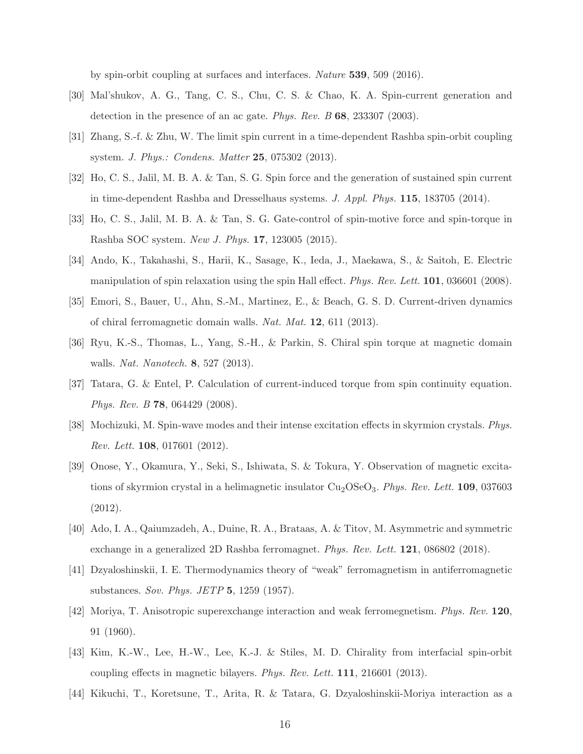by spin-orbit coupling at surfaces and interfaces. *Nature* 539, 509 (2016).

- <span id="page-15-0"></span>[30] Mal'shukov, A. G., Tang, C. S., Chu, C. S. & Chao, K. A. Spin-current generation and detection in the presence of an ac gate. *Phys. Rev. B* 68, 233307 (2003).
- [31] Zhang, S.-f. & Zhu, W. The limit spin current in a time-dependent Rashba spin-orbit coupling system. *J. Phys.: Condens. Matter* 25, 075302 (2013).
- <span id="page-15-1"></span>[32] Ho, C. S., Jalil, M. B. A. & Tan, S. G. Spin force and the generation of sustained spin current in time-dependent Rashba and Dresselhaus systems. *J. Appl. Phys.* 115, 183705 (2014).
- <span id="page-15-2"></span>[33] Ho, C. S., Jalil, M. B. A. & Tan, S. G. Gate-control of spin-motive force and spin-torque in Rashba SOC system. *New J. Phys.* 17, 123005 (2015).
- <span id="page-15-3"></span>[34] Ando, K., Takahashi, S., Harii, K., Sasage, K., Ieda, J., Maekawa, S., & Saitoh, E. Electric manipulation of spin relaxation using the spin Hall effect. *Phys. Rev. Lett.* 101, 036601 (2008).
- [35] Emori, S., Bauer, U., Ahn, S.-M., Martinez, E., & Beach, G. S. D. Current-driven dynamics of chiral ferromagnetic domain walls. *Nat. Mat.* 12, 611 (2013).
- <span id="page-15-4"></span>[36] Ryu, K.-S., Thomas, L., Yang, S.-H., & Parkin, S. Chiral spin torque at magnetic domain walls. *Nat. Nanotech.* 8, 527 (2013).
- <span id="page-15-5"></span>[37] Tatara, G. & Entel, P. Calculation of current-induced torque from spin continuity equation. *Phys. Rev. B* 78, 064429 (2008).
- <span id="page-15-6"></span>[38] Mochizuki, M. Spin-wave modes and their intense excitation effects in skyrmion crystals. *Phys. Rev. Lett.* 108, 017601 (2012).
- <span id="page-15-7"></span>[39] Onose, Y., Okamura, Y., Seki, S., Ishiwata, S. & Tokura, Y. Observation of magnetic excitations of skyrmion crystal in a helimagnetic insulator Cu<sub>2</sub>OSeO<sub>3</sub>. *Phys. Rev. Lett.* **109**, 037603 (2012).
- <span id="page-15-8"></span>[40] Ado, I. A., Qaiumzadeh, A., Duine, R. A., Brataas, A. & Titov, M. Asymmetric and symmetric exchange in a generalized 2D Rashba ferromagnet. *Phys. Rev. Lett.* 121, 086802 (2018).
- <span id="page-15-9"></span>[41] Dzyaloshinskii, I. E. Thermodynamics theory of "weak" ferromagnetism in antiferromagnetic substances. *Sov. Phys. JETP* 5, 1259 (1957).
- <span id="page-15-10"></span>[42] Moriya, T. Anisotropic superexchange interaction and weak ferromegnetism. *Phys. Rev.* 120, 91 (1960).
- <span id="page-15-11"></span>[43] Kim, K.-W., Lee, H.-W., Lee, K.-J. & Stiles, M. D. Chirality from interfacial spin-orbit coupling effects in magnetic bilayers. *Phys. Rev. Lett.* 111, 216601 (2013).
- <span id="page-15-12"></span>[44] Kikuchi, T., Koretsune, T., Arita, R. & Tatara, G. Dzyaloshinskii-Moriya interaction as a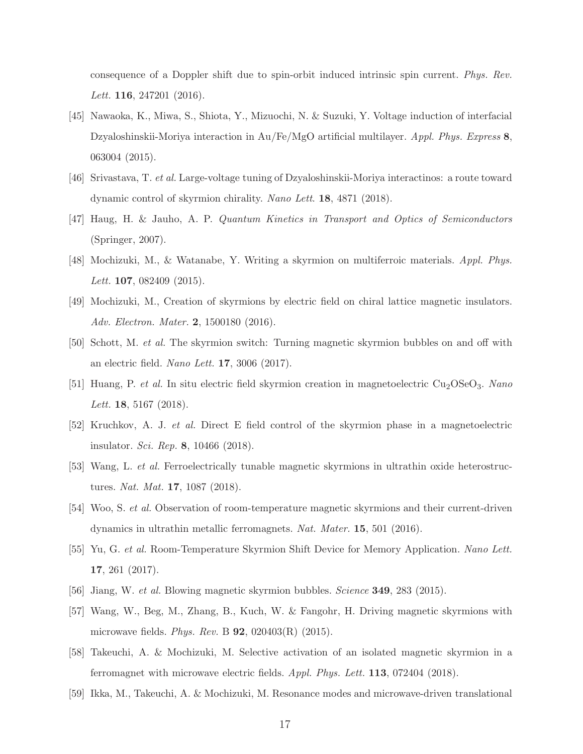consequence of a Doppler shift due to spin-orbit induced intrinsic spin current. *Phys. Rev. Lett.* 116, 247201 (2016).

- <span id="page-16-0"></span>[45] Nawaoka, K., Miwa, S., Shiota, Y., Mizuochi, N. & Suzuki, Y. Voltage induction of interfacial Dzyaloshinskii-Moriya interaction in Au/Fe/MgO artificial multilayer. *Appl. Phys. Express* 8, 063004 (2015).
- <span id="page-16-1"></span>[46] Srivastava, T. *et al.* Large-voltage tuning of Dzyaloshinskii-Moriya interactinos: a route toward dynamic control of skyrmion chirality. *Nano Lett*. 18, 4871 (2018).
- <span id="page-16-8"></span>[47] Haug, H. & Jauho, A. P. *Quantum Kinetics in Transport and Optics of Semiconductors* (Springer, 2007).
- <span id="page-16-2"></span>[48] Mochizuki, M., & Watanabe, Y. Writing a skyrmion on multiferroic materials. *Appl. Phys. Lett.* 107, 082409 (2015).
- [49] Mochizuki, M., Creation of skyrmions by electric field on chiral lattice magnetic insulators. *Adv. Electron. Mater.* 2, 1500180 (2016).
- [50] Schott, M. *et al.* The skyrmion switch: Turning magnetic skyrmion bubbles on and off with an electric field. *Nano Lett.* 17, 3006 (2017).
- [51] Huang, P. *et al.* In situ electric field skyrmion creation in magnetoelectric Cu2OSeO3. *Nano Lett.* 18, 5167 (2018).
- [52] Kruchkov, A. J. *et al.* Direct E field control of the skyrmion phase in a magnetoelectric insulator. *Sci. Rep.* 8, 10466 (2018).
- <span id="page-16-3"></span>[53] Wang, L. *et al.* Ferroelectrically tunable magnetic skyrmions in ultrathin oxide heterostructures. *Nat. Mat.* 17, 1087 (2018).
- <span id="page-16-4"></span>[54] Woo, S. *et al.* Observation of room-temperature magnetic skyrmions and their current-driven dynamics in ultrathin metallic ferromagnets. *Nat. Mater.* 15, 501 (2016).
- [55] Yu, G. *et al.* Room-Temperature Skyrmion Shift Device for Memory Application. *Nano Lett.* 17, 261 (2017).
- <span id="page-16-5"></span>[56] Jiang, W. *et al.* Blowing magnetic skyrmion bubbles. *Science* 349, 283 (2015).
- <span id="page-16-6"></span>[57] Wang, W., Beg, M., Zhang, B., Kuch, W. & Fangohr, H. Driving magnetic skyrmions with microwave fields. *Phys. Rev.* B 92, 020403(R) (2015).
- [58] Takeuchi, A. & Mochizuki, M. Selective activation of an isolated magnetic skyrmion in a ferromagnet with microwave electric fields. *Appl. Phys. Lett.* 113, 072404 (2018).
- <span id="page-16-7"></span>[59] Ikka, M., Takeuchi, A. & Mochizuki, M. Resonance modes and microwave-driven translational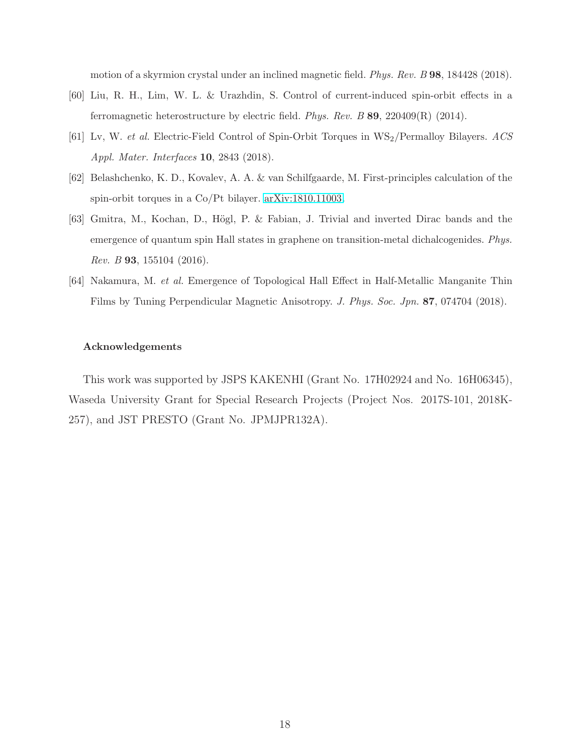motion of a skyrmion crystal under an inclined magnetic field. *Phys. Rev. B* 98, 184428 (2018).

- <span id="page-17-0"></span>[60] Liu, R. H., Lim, W. L. & Urazhdin, S. Control of current-induced spin-orbit effects in a ferromagnetic heterostructure by electric field. *Phys. Rev. B* 89, 220409(R) (2014).
- <span id="page-17-1"></span>[61] Lv, W. *et al.* Electric-Field Control of Spin-Orbit Torques in WS2/Permalloy Bilayers. *ACS Appl. Mater. Interfaces* 10, 2843 (2018).
- <span id="page-17-2"></span>[62] Belashchenko, K. D., Kovalev, A. A. & van Schilfgaarde, M. First-principles calculation of the spin-orbit torques in a Co/Pt bilayer. [arXiv:1810.11003.](http://arxiv.org/abs/1810.11003)
- <span id="page-17-3"></span>[63] Gmitra, M., Kochan, D., Högl, P. & Fabian, J. Trivial and inverted Dirac bands and the emergence of quantum spin Hall states in graphene on transition-metal dichalcogenides. *Phys. Rev. B* 93, 155104 (2016).
- <span id="page-17-4"></span>[64] Nakamura, M. *et al.* Emergence of Topological Hall Effect in Half-Metallic Manganite Thin Films by Tuning Perpendicular Magnetic Anisotropy. *J. Phys. Soc. Jpn.* 87, 074704 (2018).

#### Acknowledgements

This work was supported by JSPS KAKENHI (Grant No. 17H02924 and No. 16H06345), Waseda University Grant for Special Research Projects (Project Nos. 2017S-101, 2018K-257), and JST PRESTO (Grant No. JPMJPR132A).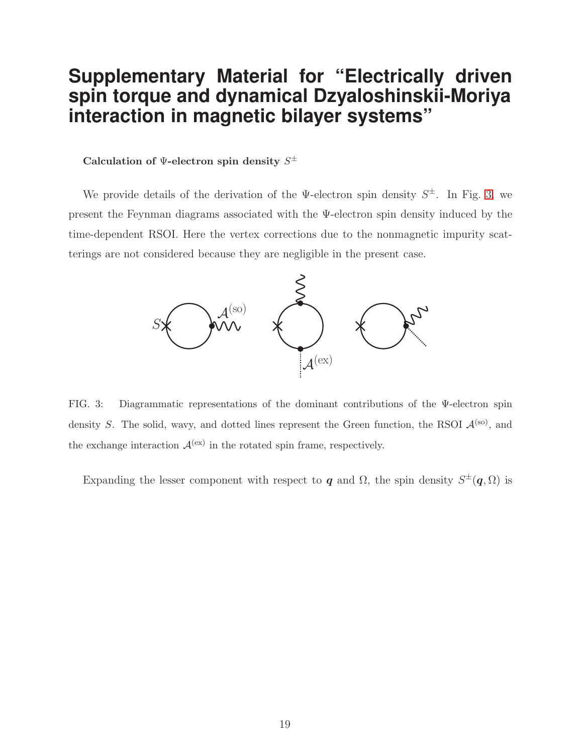# **Supplementary Material for "Electrically driven spin torque and dynamical Dzyaloshinskii-Moriya interaction in magnetic bilayer systems"**

## Calculation of  $\Psi$ -electron spin density  $S^\pm$

We provide details of the derivation of the  $\Psi$ -electron spin density  $S^{\pm}$ . In Fig. [3,](#page-18-0) we present the Feynman diagrams associated with the Ψ-electron spin density induced by the time-dependent RSOI. Here the vertex corrections due to the nonmagnetic impurity scatterings are not considered because they are negligible in the present case.



<span id="page-18-0"></span>FIG. 3: Diagrammatic representations of the dominant contributions of the Ψ-electron spin density S. The solid, wavy, and dotted lines represent the Green function, the RSOI  $\mathcal{A}^{(so)}$ , and the exchange interaction  $\mathcal{A}^{(ex)}$  in the rotated spin frame, respectively.

Expanding the lesser component with respect to q and  $\Omega$ , the spin density  $S^{\pm}(q, \Omega)$  is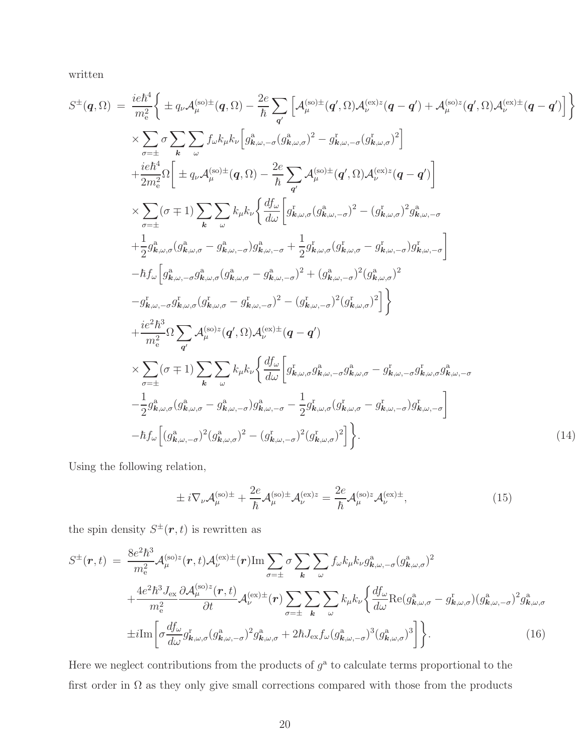written

$$
S^{\pm}(q,\Omega) = \frac{ie\hbar^{4}}{m_{e}^{2}} \Biggl\{ \pm q_{\nu}A_{\mu}^{(\text{so})\pm}(q,\Omega) - \frac{2e}{\hbar} \sum_{q'} \Biggl[ A_{\mu}^{(\text{so})\pm}(q',\Omega) A_{\nu}^{(\text{ex})z}(q-q') + A_{\mu}^{(\text{so})z}(q',\Omega) A_{\nu}^{(\text{ex})\pm}(q-q') \Biggr] \Biggr\}\times \sum_{\sigma=\pm} \sigma \sum_{k} \sum_{\omega} f_{\omega}k_{\mu}k_{\nu} \Biggl[ g_{k,\omega,-\sigma}^{2}(g_{k,\omega,\sigma}^{2})^{2} - g_{k,\omega,-\sigma}^{2}(g_{k,\omega,\sigma}^{2})^{2} \Biggr] \left. + \frac{ie\hbar^{4}}{2m_{e}^{2}} \Omega \Biggl[ \pm q_{\nu}A_{\mu}^{(\text{so})\pm}(q,\Omega) - \frac{2e}{\hbar} \sum_{q'} A_{\mu}^{(\text{so})\pm}(q',\Omega) A_{\nu}^{(\text{ex})z}(q-q') \Biggr] \times \sum_{\sigma=\pm} (\sigma \mp 1) \sum_{k} \sum_{\omega} k_{\mu}k_{\nu} \Biggl\{ \frac{df_{\omega}}{d\omega} \Biggl[ g_{k,\omega,\sigma}^{\dagger}(g_{k,\omega,\sigma})^{2} - (g_{k,\omega,\sigma}^{\dagger})^{2} g_{k,\omega,-\sigma}^{2} \Biggr] \left. + \frac{1}{2} g_{k,\omega,\sigma}^{2}(g_{k,\omega,\sigma}^{2} - g_{k,\omega,-\sigma}^{2}) g_{k,\omega,-\sigma}^{2} + \frac{1}{2} g_{k,\omega,\sigma}^{2}(g_{k,\omega,\sigma}^{\dagger} - g_{k,\omega,-\sigma}^{\dagger}) g_{k,\omega,-\sigma}^{\dagger} \Biggr] \n- \hbar f_{\omega} \Biggl[ g_{k,\omega,-\sigma}^{2} g_{k,\omega,\sigma}^{2} (g_{k,\omega,\sigma}^{2} - g_{k,\omega,-\sigma}^{2})^{2} + (g_{k,\omega,-\sigma}^{2})^{2} (g_{k,\omega,\sigma}^{2})^{2} \Biggr] \Biggr\}\n- \frac{g_{k,\omega,-\sigma}^{2} g_{k,\omega,\sigma}^{2}(g_{k,\omega,\
$$

Using the following relation,

$$
\pm i\nabla_{\nu}\mathcal{A}_{\mu}^{(\text{so})\pm} + \frac{2e}{\hbar}\mathcal{A}_{\mu}^{(\text{so})\pm}\mathcal{A}_{\nu}^{(\text{ex})z} = \frac{2e}{\hbar}\mathcal{A}_{\mu}^{(\text{so})z}\mathcal{A}_{\nu}^{(\text{ex})\pm},\tag{15}
$$

the spin density  $S^{\pm}(\mathbf{r},t)$  is rewritten as

$$
S^{\pm}(\boldsymbol{r},t) = \frac{8e^{2}\hbar^{3}}{m_{e}^{2}}\mathcal{A}_{\mu}^{(\text{so})z}(\boldsymbol{r},t)\mathcal{A}_{\nu}^{(\text{ex})\pm}(\boldsymbol{r})\text{Im}\sum_{\sigma=\pm}\sigma\sum_{\mathbf{k}}\sum_{\omega}f_{\omega}k_{\mu}k_{\nu}g_{\mathbf{k},\omega,-\sigma}^{a}(g_{\mathbf{k},\omega,\sigma}^{a})^{2} + \frac{4e^{2}\hbar^{3}J_{\text{ex}}}{m_{e}^{2}}\frac{\partial\mathcal{A}_{\mu}^{(\text{so})z}(\boldsymbol{r},t)}{\partial t}\mathcal{A}_{\nu}^{(\text{ex})\pm}(\boldsymbol{r})\sum_{\sigma=\pm}\sum_{\mathbf{k}}\sum_{\omega}k_{\mu}k_{\nu}\left\{\frac{df_{\omega}}{d\omega}\text{Re}(g_{\mathbf{k},\omega,\sigma}^{a}-g_{\mathbf{k},\omega,\sigma}^{\mathrm{r}})(g_{\mathbf{k},\omega,-\sigma}^{a})^{2}g_{\mathbf{k},\omega,\sigma}^{a}\right\} \pm i\text{Im}\left[\sigma\frac{df_{\omega}}{d\omega}g_{\mathbf{k},\omega,\sigma}^{\mathrm{r}}(g_{\mathbf{k},\omega,-\sigma}^{a})^{2}g_{\mathbf{k},\omega,\sigma}^{a}+2\hbar J_{\text{ex}}f_{\omega}(g_{\mathbf{k},\omega,-\sigma}^{a})^{3}(g_{\mathbf{k},\omega,\sigma}^{a})^{3}\right]\right\}.
$$
\n(16)

Here we neglect contributions from the products of  $g^a$  to calculate terms proportional to the first order in  $\Omega$  as they only give small corrections compared with those from the products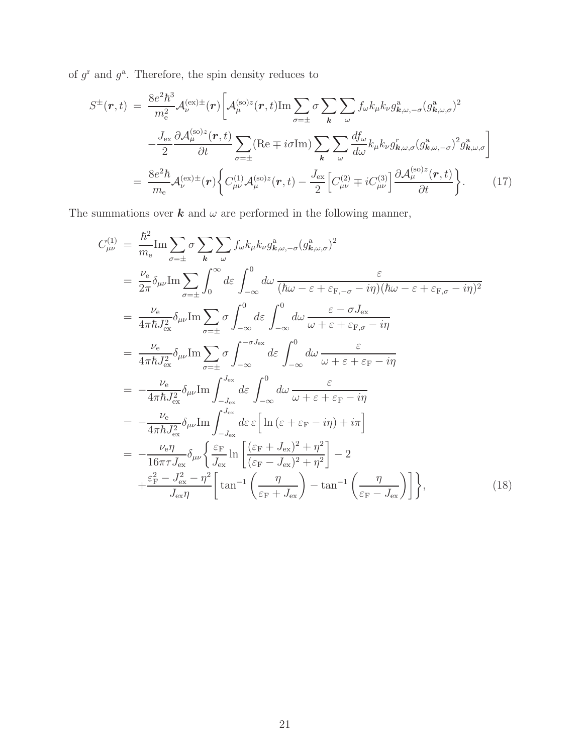of  $g^{\text{r}}$  and  $g^{\text{a}}$ . Therefore, the spin density reduces to

$$
S^{\pm}(\boldsymbol{r},t) = \frac{8e^{2}\hbar^{3}}{m_{e}^{2}}\mathcal{A}_{\nu}^{(\text{ex})\pm}(\boldsymbol{r}) \bigg[ \mathcal{A}_{\mu}^{(\text{so})z}(\boldsymbol{r},t) \text{Im} \sum_{\sigma=\pm} \sigma \sum_{\kappa} \sum_{\omega} f_{\omega} k_{\mu} k_{\nu} g_{\boldsymbol{k},\omega,-\sigma}^{a} (g_{\boldsymbol{k},\omega,\sigma}^{a})^{2} \bigg]
$$

$$
- \frac{J_{\text{ex}}}{2} \frac{\partial \mathcal{A}_{\mu}^{(\text{so})z}(\boldsymbol{r},t)}{\partial t} \sum_{\sigma=\pm} (\text{Re} \mp i\sigma \text{Im}) \sum_{\kappa} \sum_{\omega} \frac{df_{\omega}}{d\omega} k_{\mu} k_{\nu} g_{\boldsymbol{k},\omega,\sigma}^{c} (g_{\boldsymbol{k},\omega,-\sigma}^{a})^{2} g_{\boldsymbol{k},\omega,\sigma}^{a} \bigg]
$$

$$
= \frac{8e^{2}\hbar}{m_{e}} \mathcal{A}_{\nu}^{(\text{ex})\pm}(\boldsymbol{r}) \bigg\{ C_{\mu\nu}^{(1)} \mathcal{A}_{\mu}^{(\text{so})z}(\boldsymbol{r},t) - \frac{J_{\text{ex}}}{2} \bigg[ C_{\mu\nu}^{(2)} \mp i C_{\mu\nu}^{(3)} \bigg] \frac{\partial \mathcal{A}_{\mu}^{(\text{so})z}(\boldsymbol{r},t)}{\partial t} \bigg\}.
$$
(17)

The summations over  $\boldsymbol{k}$  and  $\omega$  are performed in the following manner,

$$
C_{\mu\nu}^{(1)} = \frac{\hbar^2}{m_e} \text{Im} \sum_{\sigma=\pm} \sigma \sum_{\mathbf{k}} \sum_{\omega} f_{\omega} k_{\mu} k_{\nu} g_{\mathbf{k},\omega,-\sigma}^{\mathbf{a}} (g_{\mathbf{k},\omega,\sigma}^{\mathbf{a}})^2
$$
  
\n
$$
= \frac{\nu_e}{2\pi} \delta_{\mu\nu} \text{Im} \sum_{\sigma=\pm} \int_0^{\infty} d\varepsilon \int_{-\infty}^0 d\omega \frac{\varepsilon}{(\hbar\omega - \varepsilon + \varepsilon_{\text{F},-\sigma} - i\eta)(\hbar\omega - \varepsilon + \varepsilon_{\text{F},\sigma} - i\eta)^2}
$$
  
\n
$$
= \frac{\nu_e}{4\pi \hbar J_{\text{ex}}^2} \delta_{\mu\nu} \text{Im} \sum_{\sigma=\pm} \sigma \int_{-\infty}^0 d\varepsilon \int_{-\infty}^0 d\omega \frac{\varepsilon - \sigma J_{\text{ex}}}{\omega + \varepsilon + \varepsilon_{\text{F},\sigma} - i\eta}
$$
  
\n
$$
= \frac{\nu_e}{4\pi \hbar J_{\text{ex}}^2} \delta_{\mu\nu} \text{Im} \sum_{\sigma=\pm} \sigma \int_{-\infty}^{-\sigma J_{\text{ex}}} d\varepsilon \int_{-\infty}^0 d\omega \frac{\varepsilon}{\omega + \varepsilon + \varepsilon_{\text{F}} - i\eta}
$$
  
\n
$$
= -\frac{\nu_e}{4\pi \hbar J_{\text{ex}}^2} \delta_{\mu\nu} \text{Im} \int_{-J_{\text{ex}}}^{J_{\text{ex}}} d\varepsilon \int_{-\infty}^0 d\omega \frac{\varepsilon}{\omega + \varepsilon + \varepsilon_{\text{F}} - i\eta}
$$
  
\n
$$
= -\frac{\nu_e}{4\pi \hbar J_{\text{ex}}^2} \delta_{\mu\nu} \text{Im} \int_{-J_{\text{ex}}}^{J_{\text{ex}}} d\varepsilon \varepsilon \left[ \ln (\varepsilon + \varepsilon_{\text{F}} - i\eta) + i\pi \right]
$$
  
\n
$$
= -\frac{\nu_e \eta}{16\pi \tau J_{\text{ex}}} \delta_{\mu\nu} \left\{ \frac{\
$$